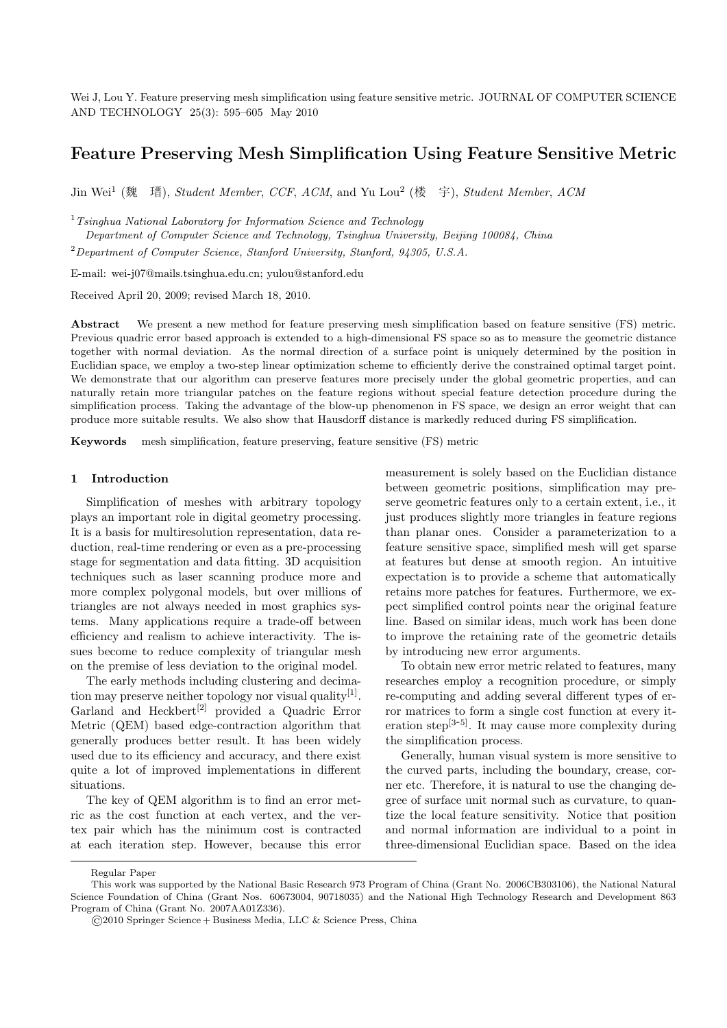Wei J, Lou Y. Feature preserving mesh simplification using feature sensitive metric. JOURNAL OF COMPUTER SCIENCE AND TECHNOLOGY 25(3): 595–605 May 2010

# Feature Preserving Mesh Simplification Using Feature Sensitive Metric

Jin Wei<sup>1</sup> (魏 瑨), Student Member, CCF, ACM, and Yu Lou<sup>2</sup> (楼 宇), Student Member, ACM

<sup>1</sup> Tsinghua National Laboratory for Information Science and Technology

Department of Computer Science and Technology, Tsinghua University, Beijing 100084, China

<sup>2</sup>Department of Computer Science, Stanford University, Stanford, 94305, U.S.A.

E-mail: wei-j07@mails.tsinghua.edu.cn; yulou@stanford.edu

Received April 20, 2009; revised March 18, 2010.

Abstract We present a new method for feature preserving mesh simplification based on feature sensitive (FS) metric. Previous quadric error based approach is extended to a high-dimensional FS space so as to measure the geometric distance together with normal deviation. As the normal direction of a surface point is uniquely determined by the position in Euclidian space, we employ a two-step linear optimization scheme to efficiently derive the constrained optimal target point. We demonstrate that our algorithm can preserve features more precisely under the global geometric properties, and can naturally retain more triangular patches on the feature regions without special feature detection procedure during the simplification process. Taking the advantage of the blow-up phenomenon in FS space, we design an error weight that can produce more suitable results. We also show that Hausdorff distance is markedly reduced during FS simplification.

Keywords mesh simplification, feature preserving, feature sensitive (FS) metric

#### 1 Introduction

Simplification of meshes with arbitrary topology plays an important role in digital geometry processing. It is a basis for multiresolution representation, data reduction, real-time rendering or even as a pre-processing stage for segmentation and data fitting. 3D acquisition techniques such as laser scanning produce more and more complex polygonal models, but over millions of triangles are not always needed in most graphics systems. Many applications require a trade-off between efficiency and realism to achieve interactivity. The issues become to reduce complexity of triangular mesh on the premise of less deviation to the original model.

The early methods including clustering and decimation may preserve neither topology nor visual quality<sup>[1]</sup>. Garland and Heckbert<sup>[2]</sup> provided a Quadric Error Metric (QEM) based edge-contraction algorithm that generally produces better result. It has been widely used due to its efficiency and accuracy, and there exist quite a lot of improved implementations in different situations.

The key of QEM algorithm is to find an error metric as the cost function at each vertex, and the vertex pair which has the minimum cost is contracted at each iteration step. However, because this error measurement is solely based on the Euclidian distance between geometric positions, simplification may preserve geometric features only to a certain extent, i.e., it just produces slightly more triangles in feature regions than planar ones. Consider a parameterization to a feature sensitive space, simplified mesh will get sparse at features but dense at smooth region. An intuitive expectation is to provide a scheme that automatically retains more patches for features. Furthermore, we expect simplified control points near the original feature line. Based on similar ideas, much work has been done to improve the retaining rate of the geometric details by introducing new error arguments.

To obtain new error metric related to features, many researches employ a recognition procedure, or simply re-computing and adding several different types of error matrices to form a single cost function at every iteration step $^{[3-5]}$ . It may cause more complexity during the simplification process.

Generally, human visual system is more sensitive to the curved parts, including the boundary, crease, corner etc. Therefore, it is natural to use the changing degree of surface unit normal such as curvature, to quantize the local feature sensitivity. Notice that position and normal information are individual to a point in three-dimensional Euclidian space. Based on the idea

Regular Paper

This work was supported by the National Basic Research 973 Program of China (Grant No. 2006CB303106), the National Natural Science Foundation of China (Grant Nos. 60673004, 90718035) and the National High Technology Research and Development 863 Program of China (Grant No. 2007AA01Z336).

<sup>©</sup>2010 Springer Science + Business Media, LLC & Science Press, China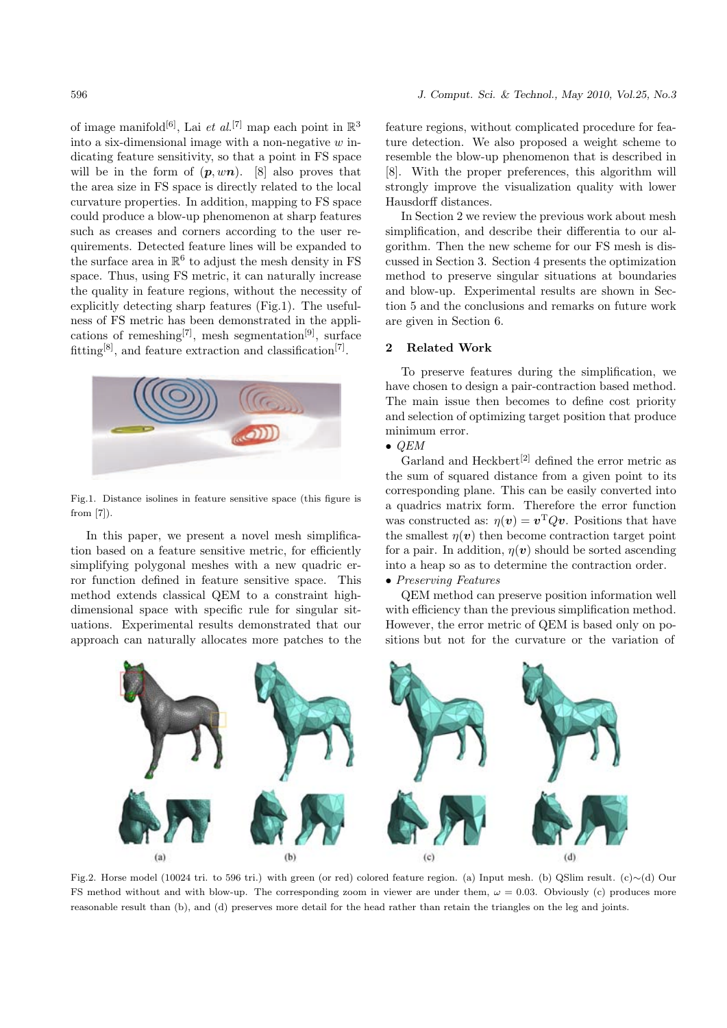of image manifold<sup>[6]</sup>, Lai *et al.*<sup>[7]</sup> map each point in  $\mathbb{R}^3$ into a six-dimensional image with a non-negative  $w$  indicating feature sensitivity, so that a point in FS space will be in the form of  $(p, wn)$ . [8] also proves that the area size in FS space is directly related to the local curvature properties. In addition, mapping to FS space could produce a blow-up phenomenon at sharp features such as creases and corners according to the user requirements. Detected feature lines will be expanded to the surface area in  $\mathbb{R}^6$  to adjust the mesh density in FS space. Thus, using FS metric, it can naturally increase the quality in feature regions, without the necessity of explicitly detecting sharp features (Fig.1). The usefulness of FS metric has been demonstrated in the applications of remeshing<sup>[7]</sup>, mesh segmentation<sup>[9]</sup>, surface fitting<sup>[8]</sup>, and feature extraction and classification<sup>[7]</sup>.



Fig.1. Distance isolines in feature sensitive space (this figure is from [7]).

In this paper, we present a novel mesh simplification based on a feature sensitive metric, for efficiently simplifying polygonal meshes with a new quadric error function defined in feature sensitive space. This method extends classical QEM to a constraint highdimensional space with specific rule for singular situations. Experimental results demonstrated that our approach can naturally allocates more patches to the feature regions, without complicated procedure for feature detection. We also proposed a weight scheme to resemble the blow-up phenomenon that is described in [8]. With the proper preferences, this algorithm will strongly improve the visualization quality with lower Hausdorff distances.

In Section 2 we review the previous work about mesh simplification, and describe their differentia to our algorithm. Then the new scheme for our FS mesh is discussed in Section 3. Section 4 presents the optimization method to preserve singular situations at boundaries and blow-up. Experimental results are shown in Section 5 and the conclusions and remarks on future work are given in Section 6.

### 2 Related Work

To preserve features during the simplification, we have chosen to design a pair-contraction based method. The main issue then becomes to define cost priority and selection of optimizing target position that produce minimum error.

# $\bullet$  QEM

Garland and Heckbert<sup>[2]</sup> defined the error metric as the sum of squared distance from a given point to its corresponding plane. This can be easily converted into a quadrics matrix form. Therefore the error function was constructed as:  $\eta(v) = v^T Q v$ . Positions that have the smallest  $\eta(v)$  then become contraction target point for a pair. In addition,  $\eta(v)$  should be sorted ascending into a heap so as to determine the contraction order.

# • Preserving Features

QEM method can preserve position information well with efficiency than the previous simplification method. However, the error metric of QEM is based only on positions but not for the curvature or the variation of



Fig.2. Horse model (10024 tri. to 596 tri.) with green (or red) colored feature region. (a) Input mesh. (b) QSlim result. (c)∼(d) Our FS method without and with blow-up. The corresponding zoom in viewer are under them,  $\omega = 0.03$ . Obviously (c) produces more reasonable result than (b), and (d) preserves more detail for the head rather than retain the triangles on the leg and joints.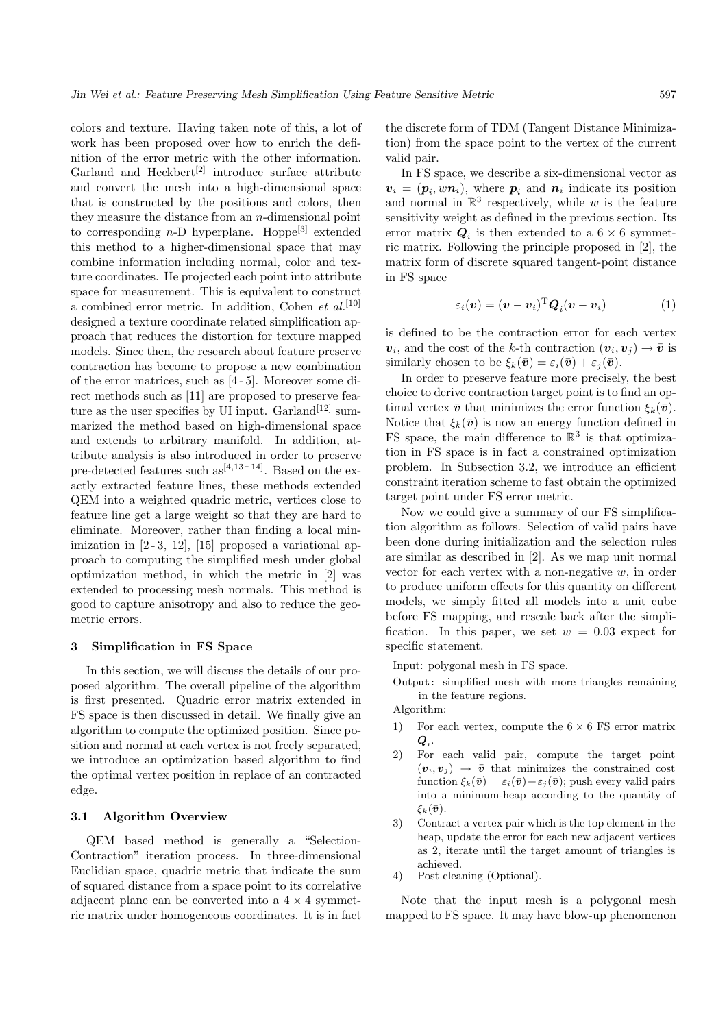colors and texture. Having taken note of this, a lot of work has been proposed over how to enrich the definition of the error metric with the other information. Garland and Heckbert<sup>[2]</sup> introduce surface attribute and convert the mesh into a high-dimensional space that is constructed by the positions and colors, then they measure the distance from an  $n$ -dimensional point to corresponding  $n-D$  hyperplane. Hoppe<sup>[3]</sup> extended this method to a higher-dimensional space that may combine information including normal, color and texture coordinates. He projected each point into attribute space for measurement. This is equivalent to construct a combined error metric. In addition, Cohen et  $al$ <sup>[10]</sup> designed a texture coordinate related simplification approach that reduces the distortion for texture mapped models. Since then, the research about feature preserve contraction has become to propose a new combination of the error matrices, such as [4 - 5]. Moreover some direct methods such as [11] are proposed to preserve feature as the user specifies by UI input. Garland<sup>[12]</sup> summarized the method based on high-dimensional space and extends to arbitrary manifold. In addition, attribute analysis is also introduced in order to preserve pre-detected features such  $as^{[4,13-14]}$ . Based on the exactly extracted feature lines, these methods extended QEM into a weighted quadric metric, vertices close to feature line get a large weight so that they are hard to eliminate. Moreover, rather than finding a local minimization in  $[2-3, 12]$ ,  $[15]$  proposed a variational approach to computing the simplified mesh under global optimization method, in which the metric in [2] was extended to processing mesh normals. This method is good to capture anisotropy and also to reduce the geometric errors.

### 3 Simplification in FS Space

In this section, we will discuss the details of our proposed algorithm. The overall pipeline of the algorithm is first presented. Quadric error matrix extended in FS space is then discussed in detail. We finally give an algorithm to compute the optimized position. Since position and normal at each vertex is not freely separated, we introduce an optimization based algorithm to find the optimal vertex position in replace of an contracted edge.

### 3.1 Algorithm Overview

QEM based method is generally a "Selection-Contraction" iteration process. In three-dimensional Euclidian space, quadric metric that indicate the sum of squared distance from a space point to its correlative adjacent plane can be converted into a  $4 \times 4$  symmetric matrix under homogeneous coordinates. It is in fact the discrete form of TDM (Tangent Distance Minimization) from the space point to the vertex of the current valid pair.

In FS space, we describe a six-dimensional vector as  $v_i = (p_i, w n_i)$ , where  $p_i$  and  $n_i$  indicate its position and normal in  $\mathbb{R}^3$  respectively, while w is the feature sensitivity weight as defined in the previous section. Its error matrix  $Q_i$  is then extended to a 6  $\times$  6 symmetric matrix. Following the principle proposed in [2], the matrix form of discrete squared tangent-point distance in FS space

$$
\varepsilon_i(\boldsymbol{v}) = (\boldsymbol{v} - \boldsymbol{v}_i)^{\mathrm{T}} \boldsymbol{Q}_i(\boldsymbol{v} - \boldsymbol{v}_i)
$$
 (1)

is defined to be the contraction error for each vertex  $v_i$ , and the cost of the k-th contraction  $(v_i, v_j) \rightarrow \bar{v}$  is similarly chosen to be  $\xi_k(\bar{\boldsymbol{v}}) = \varepsilon_i(\bar{\boldsymbol{v}}) + \varepsilon_i(\bar{\boldsymbol{v}}).$ 

In order to preserve feature more precisely, the best choice to derive contraction target point is to find an optimal vertex  $\bar{v}$  that minimizes the error function  $\xi_k(\bar{v})$ . Notice that  $\xi_k(\bar{v})$  is now an energy function defined in FS space, the main difference to  $\mathbb{R}^3$  is that optimization in FS space is in fact a constrained optimization problem. In Subsection 3.2, we introduce an efficient constraint iteration scheme to fast obtain the optimized target point under FS error metric.

Now we could give a summary of our FS simplification algorithm as follows. Selection of valid pairs have been done during initialization and the selection rules are similar as described in [2]. As we map unit normal vector for each vertex with a non-negative  $w$ , in order to produce uniform effects for this quantity on different models, we simply fitted all models into a unit cube before FS mapping, and rescale back after the simplification. In this paper, we set  $w = 0.03$  expect for specific statement.

Input: polygonal mesh in FS space.

Output: simplified mesh with more triangles remaining in the feature regions.

Algorithm:

- 1) For each vertex, compute the  $6 \times 6$  FS error matrix  $\boldsymbol{Q}_i$ .
- 2) For each valid pair, compute the target point  $(v_i, v_j) \rightarrow \bar{v}$  that minimizes the constrained cost function  $\xi_k(\bar{v}) = \varepsilon_i(\bar{v}) + \varepsilon_j(\bar{v})$ ; push every valid pairs into a minimum-heap according to the quantity of  $\xi_k(\bar{\boldsymbol{v}}).$
- 3) Contract a vertex pair which is the top element in the heap, update the error for each new adjacent vertices as 2, iterate until the target amount of triangles is achieved.
- 4) Post cleaning (Optional).

Note that the input mesh is a polygonal mesh mapped to FS space. It may have blow-up phenomenon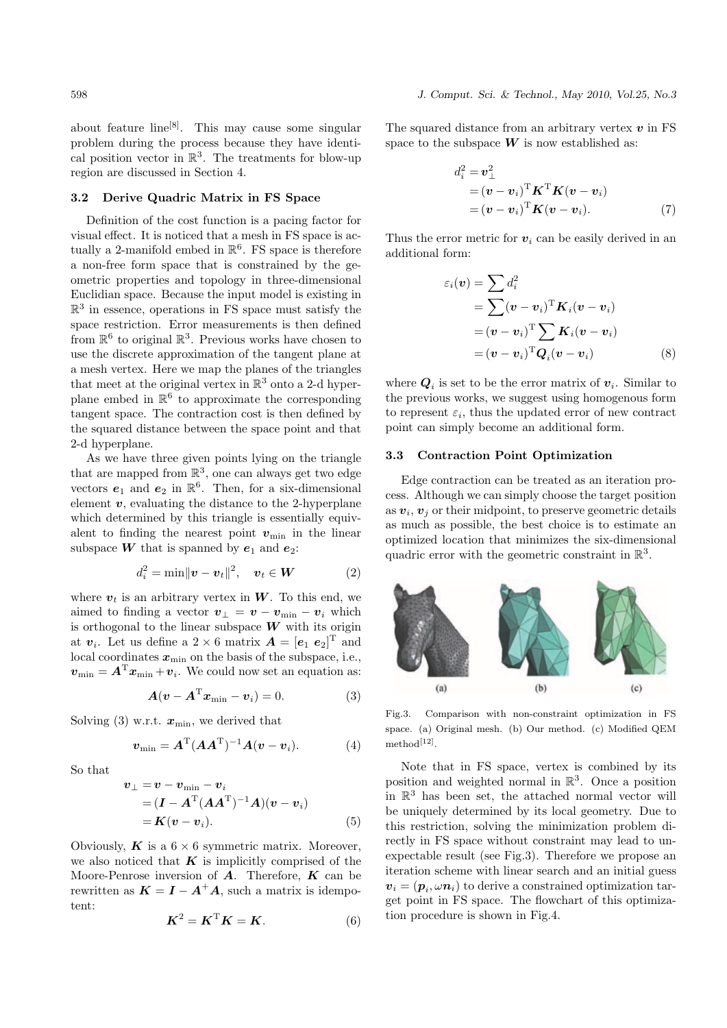about feature  $\text{line}^{[8]}$ . This may cause some singular problem during the process because they have identical position vector in  $\mathbb{R}^3$ . The treatments for blow-up region are discussed in Section 4.

## 3.2 Derive Quadric Matrix in FS Space

Definition of the cost function is a pacing factor for visual effect. It is noticed that a mesh in FS space is actually a 2-manifold embed in  $\mathbb{R}^6$ . FS space is therefore a non-free form space that is constrained by the geometric properties and topology in three-dimensional Euclidian space. Because the input model is existing in  $\mathbb{R}^3$  in essence, operations in FS space must satisfy the space restriction. Error measurements is then defined from  $\mathbb{R}^6$  to original  $\mathbb{R}^3$ . Previous works have chosen to use the discrete approximation of the tangent plane at a mesh vertex. Here we map the planes of the triangles that meet at the original vertex in  $\mathbb{R}^3$  onto a 2-d hyperplane embed in  $\mathbb{R}^6$  to approximate the corresponding tangent space. The contraction cost is then defined by the squared distance between the space point and that 2-d hyperplane.

As we have three given points lying on the triangle that are mapped from  $\mathbb{R}^3$ , one can always get two edge vectors  $e_1$  and  $e_2$  in  $\mathbb{R}^6$ . Then, for a six-dimensional element  $v$ , evaluating the distance to the 2-hyperplane which determined by this triangle is essentially equivalent to finding the nearest point  $v_{\text{min}}$  in the linear subspace **W** that is spanned by  $e_1$  and  $e_2$ :

$$
d_i^2 = \min ||\boldsymbol{v} - \boldsymbol{v}_t||^2, \quad \boldsymbol{v}_t \in \boldsymbol{W} \tag{2}
$$

where  $v_t$  is an arbitrary vertex in W. To this end, we aimed to finding a vector  $v_{\perp} = v - v_{\min} - v_i$  which is orthogonal to the linear subspace  $W$  with its origin at  $v_i$ . Let us define a 2 × 6 matrix  $\boldsymbol{A} = [\boldsymbol{e}_1 \ \boldsymbol{e}_2]^{\mathrm{T}}$  and local coordinates  $x_{\min}$  on the basis of the subspace, i.e.,  $\boldsymbol{v}_{\min} = \boldsymbol{A}^{\mathrm{T}} \boldsymbol{x}_{\min} + \boldsymbol{v}_i$ . We could now set an equation as:

$$
\mathbf{A}(\mathbf{v} - \mathbf{A}^{\mathrm{T}} \mathbf{x}_{\min} - \mathbf{v}_i) = 0. \tag{3}
$$

Solving (3) w.r.t.  $x_{\min}$ , we derived that

$$
\boldsymbol{v}_{\min} = \boldsymbol{A}^{\mathrm{T}} (\boldsymbol{A}\boldsymbol{A}^{\mathrm{T}})^{-1} \boldsymbol{A} (\boldsymbol{v} - \boldsymbol{v}_i). \tag{4}
$$

So that

$$
\begin{aligned} \boldsymbol{v}_{\perp} &= \boldsymbol{v} - \boldsymbol{v}_{\min} - \boldsymbol{v}_i \\ &= (\boldsymbol{I} - \boldsymbol{A}^{\mathrm{T}} (\boldsymbol{A} \boldsymbol{A}^{\mathrm{T}})^{-1} \boldsymbol{A}) (\boldsymbol{v} - \boldsymbol{v}_i) \\ &= \boldsymbol{K} (\boldsymbol{v} - \boldsymbol{v}_i). \end{aligned} \tag{5}
$$

Obviously,  $\boldsymbol{K}$  is a 6  $\times$  6 symmetric matrix. Moreover, we also noticed that  $K$  is implicitly comprised of the Moore-Penrose inversion of  $A$ . Therefore,  $K$  can be rewritten as  $K = I - A^{+}A$ , such a matrix is idempotent:

$$
\boldsymbol{K}^2 = \boldsymbol{K}^{\mathrm{T}} \boldsymbol{K} = \boldsymbol{K}.\tag{6}
$$

The squared distance from an arbitrary vertex  $v$  in FS space to the subspace  $W$  is now established as:

$$
d_i^2 = \mathbf{v}_\perp^2
$$
  
= (\mathbf{v} - \mathbf{v}\_i)^{\mathrm{T}} \mathbf{K}^{\mathrm{T}} \mathbf{K} (\mathbf{v} - \mathbf{v}\_i)  
= (\mathbf{v} - \mathbf{v}\_i)^{\mathrm{T}} \mathbf{K} (\mathbf{v} - \mathbf{v}\_i). (7)

Thus the error metric for  $v_i$  can be easily derived in an additional form:

$$
\varepsilon_i(\mathbf{v}) = \sum d_i^2
$$
  
= 
$$
\sum (\mathbf{v} - \mathbf{v}_i)^{\mathrm{T}} \mathbf{K}_i(\mathbf{v} - \mathbf{v}_i)
$$
  
= 
$$
(\mathbf{v} - \mathbf{v}_i)^{\mathrm{T}} \sum \mathbf{K}_i(\mathbf{v} - \mathbf{v}_i)
$$
  
= 
$$
(\mathbf{v} - \mathbf{v}_i)^{\mathrm{T}} \mathbf{Q}_i(\mathbf{v} - \mathbf{v}_i)
$$
(8)

where  $Q_i$  is set to be the error matrix of  $v_i$ . Similar to the previous works, we suggest using homogenous form to represent  $\varepsilon_i$ , thus the updated error of new contract point can simply become an additional form.

#### 3.3 Contraction Point Optimization

Edge contraction can be treated as an iteration process. Although we can simply choose the target position as  $v_i$ ,  $v_j$  or their midpoint, to preserve geometric details as much as possible, the best choice is to estimate an optimized location that minimizes the six-dimensional quadric error with the geometric constraint in  $\mathbb{R}^3$ .



Fig.3. Comparison with non-constraint optimization in FS space. (a) Original mesh. (b) Our method. (c) Modified QEM method[12] .

Note that in FS space, vertex is combined by its position and weighted normal in  $\mathbb{R}^3$ . Once a position in  $\mathbb{R}^3$  has been set, the attached normal vector will be uniquely determined by its local geometry. Due to this restriction, solving the minimization problem directly in FS space without constraint may lead to unexpectable result (see Fig.3). Therefore we propose an iteration scheme with linear search and an initial guess  $v_i = (\boldsymbol{p}_i, \omega \boldsymbol{n}_i)$  to derive a constrained optimization target point in FS space. The flowchart of this optimization procedure is shown in Fig.4.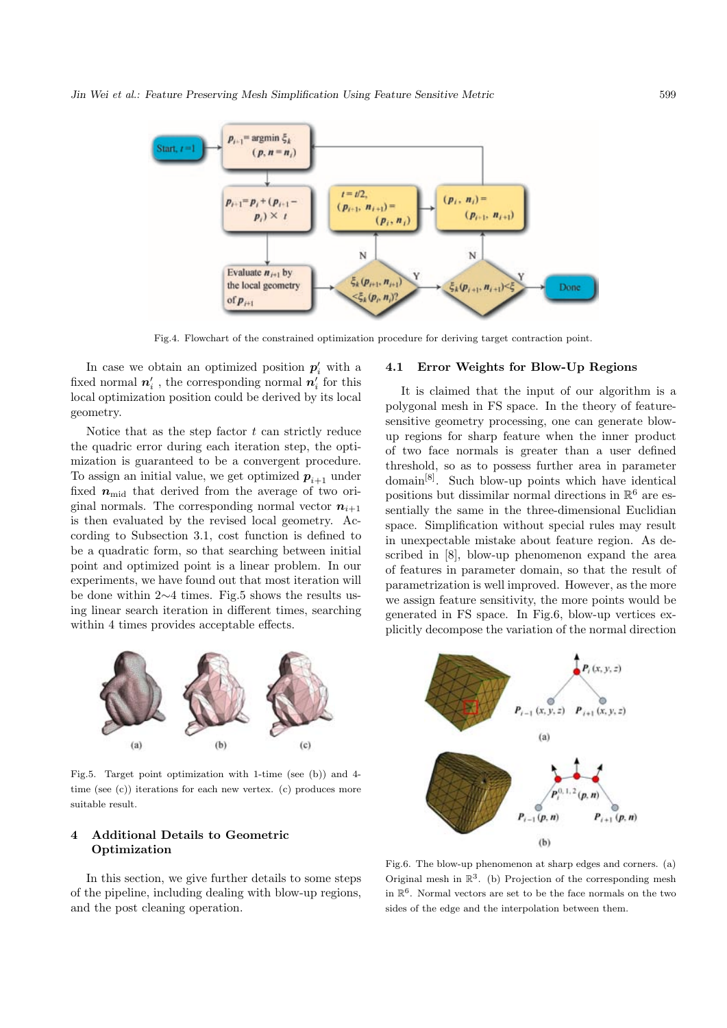

Fig.4. Flowchart of the constrained optimization procedure for deriving target contraction point.

In case we obtain an optimized position  $p'_i$  with a fixed normal  $\boldsymbol{n}'_i$  , the corresponding normal  $\boldsymbol{n}'_i$  for this local optimization position could be derived by its local geometry.

Notice that as the step factor  $t$  can strictly reduce the quadric error during each iteration step, the optimization is guaranteed to be a convergent procedure. To assign an initial value, we get optimized  $p_{i+1}$  under fixed  $n_{\text{mid}}$  that derived from the average of two original normals. The corresponding normal vector  $n_{i+1}$ is then evaluated by the revised local geometry. According to Subsection 3.1, cost function is defined to be a quadratic form, so that searching between initial point and optimized point is a linear problem. In our experiments, we have found out that most iteration will be done within 2∼4 times. Fig.5 shows the results using linear search iteration in different times, searching within 4 times provides acceptable effects.

# 4.1 Error Weights for Blow-Up Regions

It is claimed that the input of our algorithm is a polygonal mesh in FS space. In the theory of featuresensitive geometry processing, one can generate blowup regions for sharp feature when the inner product of two face normals is greater than a user defined threshold, so as to possess further area in parameter  $domain<sup>[8]</sup>$ . Such blow-up points which have identical positions but dissimilar normal directions in  $\mathbb{R}^6$  are essentially the same in the three-dimensional Euclidian space. Simplification without special rules may result in unexpectable mistake about feature region. As described in [8], blow-up phenomenon expand the area of features in parameter domain, so that the result of parametrization is well improved. However, as the more we assign feature sensitivity, the more points would be generated in FS space. In Fig.6, blow-up vertices explicitly decompose the variation of the normal direction



Fig.5. Target point optimization with 1-time (see (b)) and 4 time (see (c)) iterations for each new vertex. (c) produces more suitable result.

# 4 Additional Details to Geometric Optimization

In this section, we give further details to some steps of the pipeline, including dealing with blow-up regions, and the post cleaning operation.



Fig.6. The blow-up phenomenon at sharp edges and corners. (a) Original mesh in  $\mathbb{R}^3$ . (b) Projection of the corresponding mesh in  $\mathbb{R}^6$ . Normal vectors are set to be the face normals on the two sides of the edge and the interpolation between them.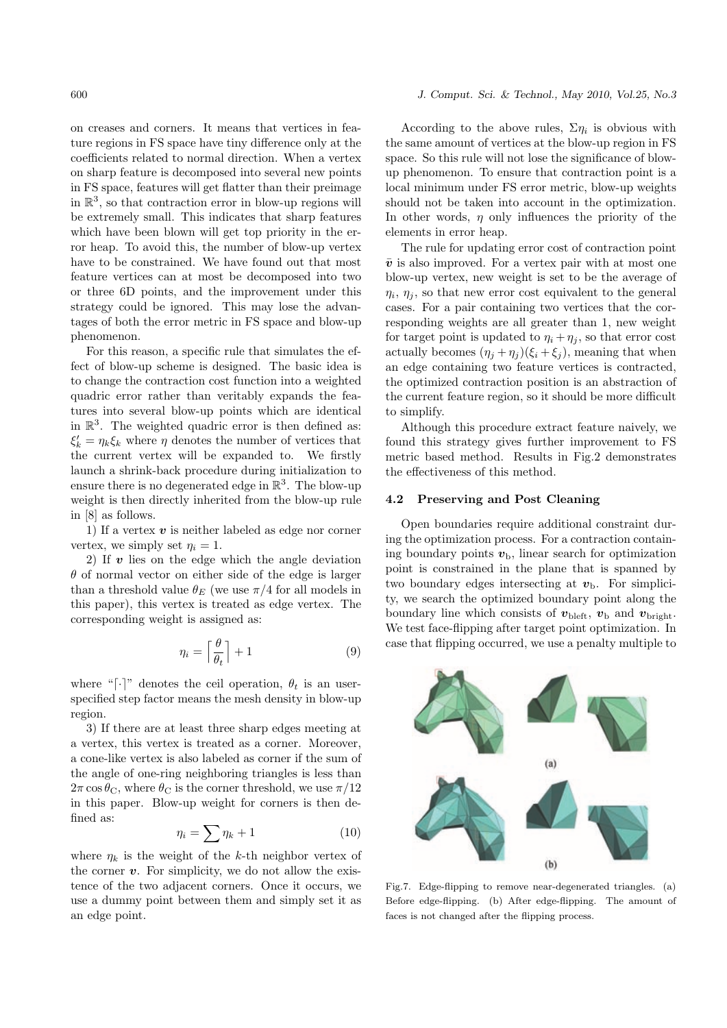on creases and corners. It means that vertices in feature regions in FS space have tiny difference only at the coefficients related to normal direction. When a vertex on sharp feature is decomposed into several new points in FS space, features will get flatter than their preimage in  $\mathbb{R}^3$ , so that contraction error in blow-up regions will be extremely small. This indicates that sharp features which have been blown will get top priority in the error heap. To avoid this, the number of blow-up vertex have to be constrained. We have found out that most feature vertices can at most be decomposed into two or three 6D points, and the improvement under this strategy could be ignored. This may lose the advantages of both the error metric in FS space and blow-up phenomenon.

For this reason, a specific rule that simulates the effect of blow-up scheme is designed. The basic idea is to change the contraction cost function into a weighted quadric error rather than veritably expands the features into several blow-up points which are identical in  $\mathbb{R}^3$ . The weighted quadric error is then defined as:  $\xi'_k = \eta_k \xi_k$  where  $\eta$  denotes the number of vertices that the current vertex will be expanded to. We firstly launch a shrink-back procedure during initialization to ensure there is no degenerated edge in  $\mathbb{R}^3$ . The blow-up weight is then directly inherited from the blow-up rule in [8] as follows.

1) If a vertex  $v$  is neither labeled as edge nor corner vertex, we simply set  $\eta_i = 1$ .

2) If  $\boldsymbol{v}$  lies on the edge which the angle deviation  $\theta$  of normal vector on either side of the edge is larger than a threshold value  $\theta_E$  (we use  $\pi/4$  for all models in this paper), this vertex is treated as edge vertex. The corresponding weight is assigned as:

$$
\eta_i = \left\lceil \frac{\theta}{\theta_t} \right\rceil + 1 \tag{9}
$$

where "[ $\cdot$ ]" denotes the ceil operation,  $\theta_t$  is an userspecified step factor means the mesh density in blow-up region.

3) If there are at least three sharp edges meeting at a vertex, this vertex is treated as a corner. Moreover, a cone-like vertex is also labeled as corner if the sum of the angle of one-ring neighboring triangles is less than  $2\pi \cos \theta_{\rm C}$ , where  $\theta_{\rm C}$  is the corner threshold, we use  $\pi/12$ in this paper. Blow-up weight for corners is then defined as:

$$
\eta_i = \sum \eta_k + 1 \tag{10}
$$

where  $\eta_k$  is the weight of the k-th neighbor vertex of the corner  $v$ . For simplicity, we do not allow the existence of the two adjacent corners. Once it occurs, we use a dummy point between them and simply set it as an edge point.

#### 600 J. Comput. Sci. & Technol., May 2010, Vol.25, No.3

According to the above rules,  $\Sigma \eta_i$  is obvious with the same amount of vertices at the blow-up region in FS space. So this rule will not lose the significance of blowup phenomenon. To ensure that contraction point is a local minimum under FS error metric, blow-up weights should not be taken into account in the optimization. In other words,  $\eta$  only influences the priority of the elements in error heap.

The rule for updating error cost of contraction point  $\bar{v}$  is also improved. For a vertex pair with at most one blow-up vertex, new weight is set to be the average of  $\eta_i$ ,  $\eta_j$ , so that new error cost equivalent to the general cases. For a pair containing two vertices that the corresponding weights are all greater than 1, new weight for target point is updated to  $\eta_i + \eta_j$ , so that error cost actually becomes  $(\eta_j + \eta_j)(\xi_i + \xi_j)$ , meaning that when an edge containing two feature vertices is contracted, the optimized contraction position is an abstraction of the current feature region, so it should be more difficult to simplify.

Although this procedure extract feature naively, we found this strategy gives further improvement to FS metric based method. Results in Fig.2 demonstrates the effectiveness of this method.

### 4.2 Preserving and Post Cleaning

Open boundaries require additional constraint during the optimization process. For a contraction containing boundary points  $v<sub>b</sub>$ , linear search for optimization point is constrained in the plane that is spanned by two boundary edges intersecting at  $v_{\rm b}$ . For simplicity, we search the optimized boundary point along the boundary line which consists of  $v_{\text{bleft}}$ ,  $v_{\text{b}}$  and  $v_{\text{bright}}$ . We test face-flipping after target point optimization. In case that flipping occurred, we use a penalty multiple to



Fig.7. Edge-flipping to remove near-degenerated triangles. (a) Before edge-flipping. (b) After edge-flipping. The amount of faces is not changed after the flipping process.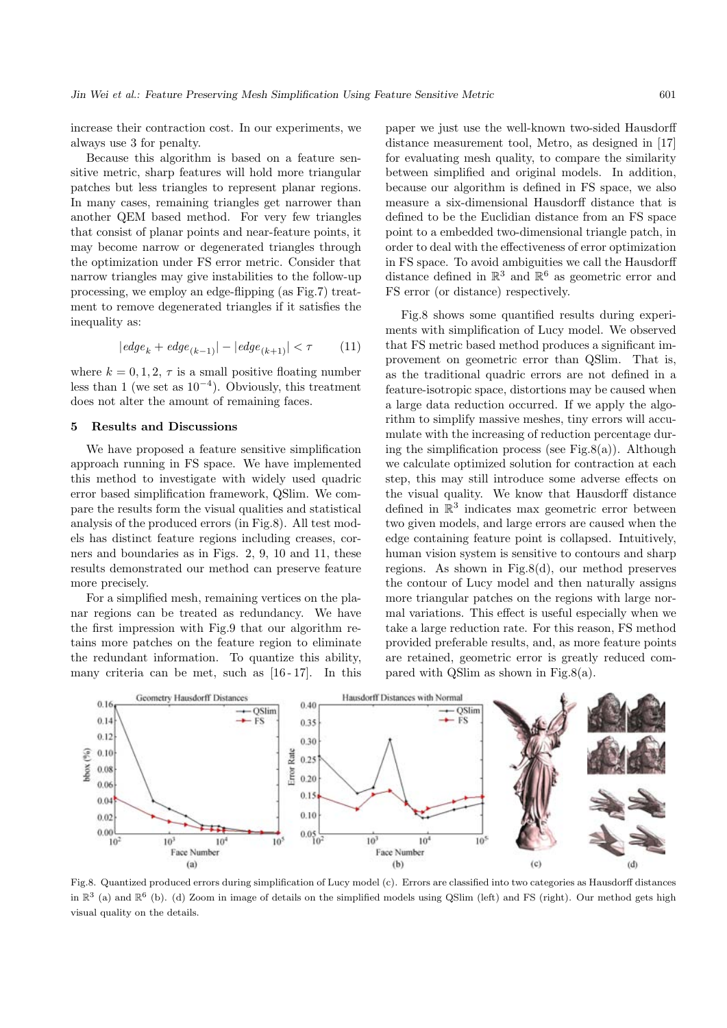increase their contraction cost. In our experiments, we always use 3 for penalty.

Because this algorithm is based on a feature sensitive metric, sharp features will hold more triangular patches but less triangles to represent planar regions. In many cases, remaining triangles get narrower than another QEM based method. For very few triangles that consist of planar points and near-feature points, it may become narrow or degenerated triangles through the optimization under FS error metric. Consider that narrow triangles may give instabilities to the follow-up processing, we employ an edge-flipping (as Fig.7) treatment to remove degenerated triangles if it satisfies the inequality as:

$$
|edge_k + edge_{(k-1)}| - |edge_{(k+1)}| < \tau \tag{11}
$$

where  $k = 0, 1, 2, \tau$  is a small positive floating number less than 1 (we set as  $10^{-4}$ ). Obviously, this treatment does not alter the amount of remaining faces.

#### 5 Results and Discussions

We have proposed a feature sensitive simplification approach running in FS space. We have implemented this method to investigate with widely used quadric error based simplification framework, QSlim. We compare the results form the visual qualities and statistical analysis of the produced errors (in Fig.8). All test models has distinct feature regions including creases, corners and boundaries as in Figs. 2, 9, 10 and 11, these results demonstrated our method can preserve feature more precisely.

For a simplified mesh, remaining vertices on the planar regions can be treated as redundancy. We have the first impression with Fig.9 that our algorithm retains more patches on the feature region to eliminate the redundant information. To quantize this ability, many criteria can be met, such as [16 - 17]. In this paper we just use the well-known two-sided Hausdorff distance measurement tool, Metro, as designed in [17] for evaluating mesh quality, to compare the similarity between simplified and original models. In addition, because our algorithm is defined in FS space, we also measure a six-dimensional Hausdorff distance that is defined to be the Euclidian distance from an FS space point to a embedded two-dimensional triangle patch, in order to deal with the effectiveness of error optimization in FS space. To avoid ambiguities we call the Hausdorff distance defined in  $\mathbb{R}^3$  and  $\mathbb{R}^6$  as geometric error and FS error (or distance) respectively.

Fig.8 shows some quantified results during experiments with simplification of Lucy model. We observed that FS metric based method produces a significant improvement on geometric error than QSlim. That is, as the traditional quadric errors are not defined in a feature-isotropic space, distortions may be caused when a large data reduction occurred. If we apply the algorithm to simplify massive meshes, tiny errors will accumulate with the increasing of reduction percentage during the simplification process (see Fig.8(a)). Although we calculate optimized solution for contraction at each step, this may still introduce some adverse effects on the visual quality. We know that Hausdorff distance defined in  $\mathbb{R}^3$  indicates max geometric error between two given models, and large errors are caused when the edge containing feature point is collapsed. Intuitively, human vision system is sensitive to contours and sharp regions. As shown in Fig.8(d), our method preserves the contour of Lucy model and then naturally assigns more triangular patches on the regions with large normal variations. This effect is useful especially when we take a large reduction rate. For this reason, FS method provided preferable results, and, as more feature points are retained, geometric error is greatly reduced compared with QSlim as shown in Fig.8(a).



Fig.8. Quantized produced errors during simplification of Lucy model (c). Errors are classified into two categories as Hausdorff distances in  $\mathbb{R}^3$  (a) and  $\mathbb{R}^6$  (b). (d) Zoom in image of details on the simplified models using QSlim (left) and FS (right). Our method gets high visual quality on the details.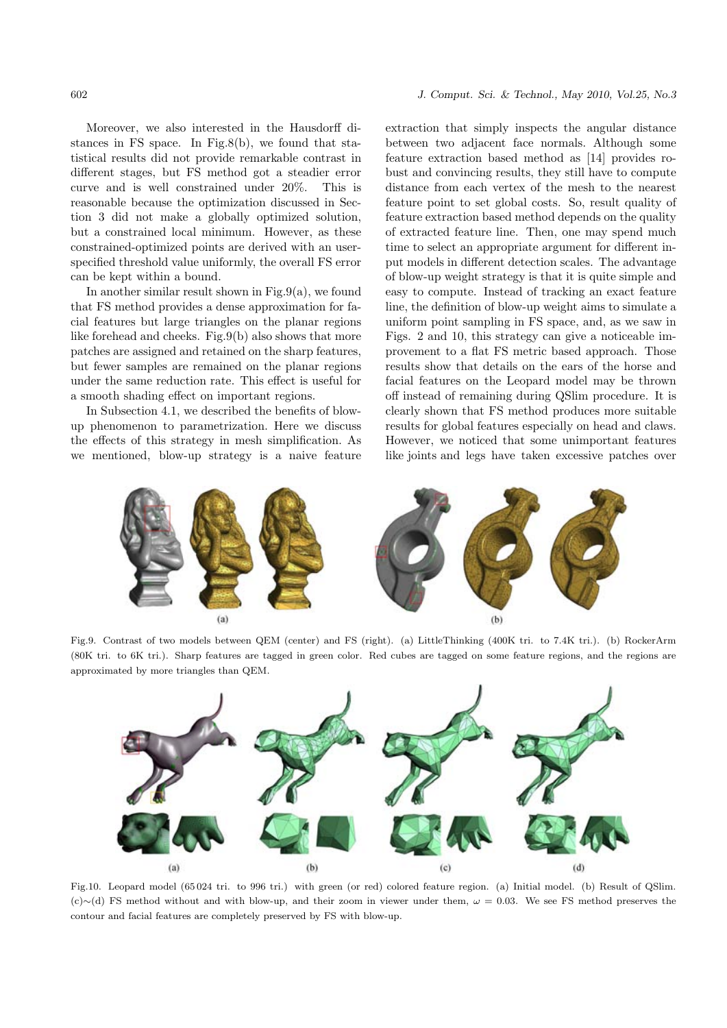Moreover, we also interested in the Hausdorff distances in FS space. In Fig.8(b), we found that statistical results did not provide remarkable contrast in different stages, but FS method got a steadier error curve and is well constrained under 20%. This is reasonable because the optimization discussed in Section 3 did not make a globally optimized solution, but a constrained local minimum. However, as these constrained-optimized points are derived with an userspecified threshold value uniformly, the overall FS error can be kept within a bound.

In another similar result shown in Fig.9(a), we found that FS method provides a dense approximation for facial features but large triangles on the planar regions like forehead and cheeks. Fig.9(b) also shows that more patches are assigned and retained on the sharp features, but fewer samples are remained on the planar regions under the same reduction rate. This effect is useful for a smooth shading effect on important regions.

In Subsection 4.1, we described the benefits of blowup phenomenon to parametrization. Here we discuss the effects of this strategy in mesh simplification. As we mentioned, blow-up strategy is a naive feature extraction that simply inspects the angular distance between two adjacent face normals. Although some feature extraction based method as [14] provides robust and convincing results, they still have to compute distance from each vertex of the mesh to the nearest feature point to set global costs. So, result quality of feature extraction based method depends on the quality of extracted feature line. Then, one may spend much time to select an appropriate argument for different input models in different detection scales. The advantage of blow-up weight strategy is that it is quite simple and easy to compute. Instead of tracking an exact feature line, the definition of blow-up weight aims to simulate a uniform point sampling in FS space, and, as we saw in Figs. 2 and 10, this strategy can give a noticeable improvement to a flat FS metric based approach. Those results show that details on the ears of the horse and facial features on the Leopard model may be thrown off instead of remaining during QSlim procedure. It is clearly shown that FS method produces more suitable results for global features especially on head and claws. However, we noticed that some unimportant features like joints and legs have taken excessive patches over



Fig.9. Contrast of two models between QEM (center) and FS (right). (a) LittleThinking (400K tri. to 7.4K tri.). (b) RockerArm (80K tri. to 6K tri.). Sharp features are tagged in green color. Red cubes are tagged on some feature regions, and the regions are approximated by more triangles than QEM.



Fig.10. Leopard model (65 024 tri. to 996 tri.) with green (or red) colored feature region. (a) Initial model. (b) Result of QSlim.  $(c) \sim$ (d) FS method without and with blow-up, and their zoom in viewer under them,  $\omega = 0.03$ . We see FS method preserves the contour and facial features are completely preserved by FS with blow-up.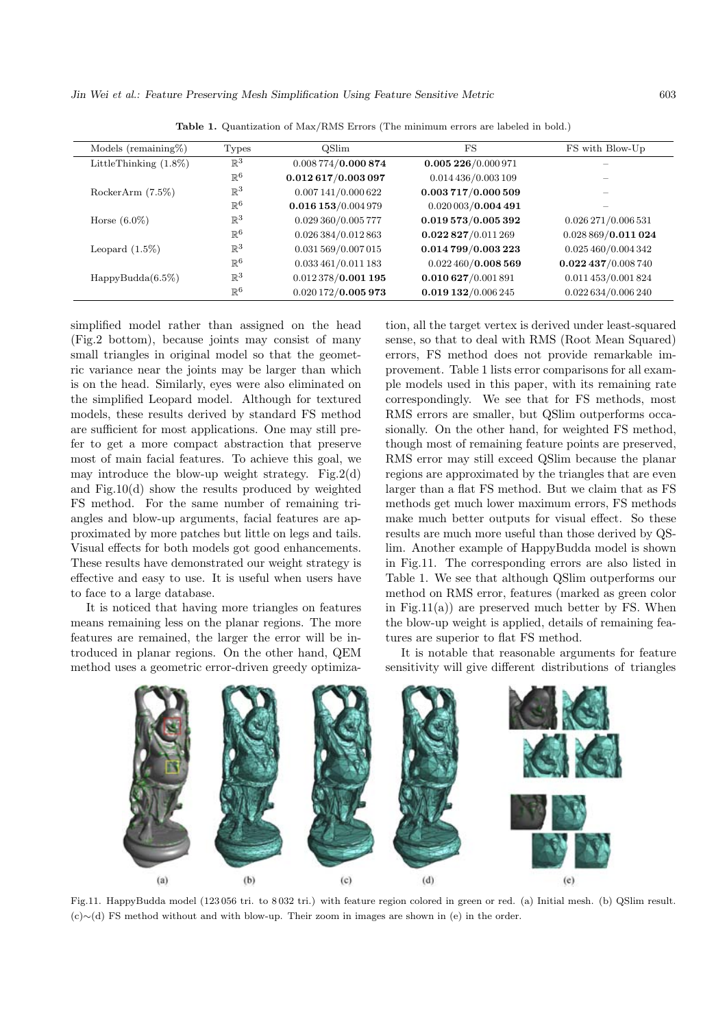Jin Wei et al.: Feature Preserving Mesh Simplification Using Feature Sensitive Metric 603

| Models (remaining $%$ )  | <b>Types</b>   | <b>OSlim</b>          | $_{\rm FS}$         | FS with Blow-Up      |
|--------------------------|----------------|-----------------------|---------------------|----------------------|
| LittleThinking $(1.8\%)$ | $\mathbb{R}^3$ | 0.008774/0.000874     | 0.005 226/0.000 971 |                      |
|                          | $\mathbb{R}^6$ | 0.012617/0.003097     | 0.014 436/0.003 109 |                      |
| RockerArm $(7.5\%)$      | $\mathbb{R}^3$ | 0.007141/0.000622     | 0.003717/0.000509   |                      |
|                          | $\mathbb{R}^6$ | $0.016$ 153/0.004 979 | 0.020003/0.004491   |                      |
| Horse $(6.0\%)$          | $\mathbb{R}^3$ | 0.029 360/0.005 777   | 0.019573/0.005392   | 0.026 271/0.006 531  |
|                          | $\mathbb{R}^6$ | 0.026 384/0.012 863   | 0.022827/0.011269   | 0.028869/0.011024    |
| Leopard $(1.5\%)$        | $\mathbb{R}^3$ | 0.031 569/0.007 015   | 0.014799/0.003223   | 0.025 460/0.004 342  |
|                          | $\mathbb{R}^6$ | 0.033461/0.011183     | 0.022460/0.008569   | $0.022$ 437/0.008740 |
| HappyBudda(6.5%)         | $\mathbb{R}^3$ | 0.012378/0.001195     | 0.010627/0.001891   | 0.011 453/0.001 824  |
|                          | $\mathbb{R}^6$ | 0.020172/0.005973     | 0.019132/0.006245   | 0.022634/0.006240    |

Table 1. Quantization of Max/RMS Errors (The minimum errors are labeled in bold.)

simplified model rather than assigned on the head (Fig.2 bottom), because joints may consist of many small triangles in original model so that the geometric variance near the joints may be larger than which is on the head. Similarly, eyes were also eliminated on the simplified Leopard model. Although for textured models, these results derived by standard FS method are sufficient for most applications. One may still prefer to get a more compact abstraction that preserve most of main facial features. To achieve this goal, we may introduce the blow-up weight strategy. Fig.2(d) and Fig.10(d) show the results produced by weighted FS method. For the same number of remaining triangles and blow-up arguments, facial features are approximated by more patches but little on legs and tails. Visual effects for both models got good enhancements. These results have demonstrated our weight strategy is effective and easy to use. It is useful when users have to face to a large database.

It is noticed that having more triangles on features means remaining less on the planar regions. The more features are remained, the larger the error will be introduced in planar regions. On the other hand, QEM method uses a geometric error-driven greedy optimization, all the target vertex is derived under least-squared sense, so that to deal with RMS (Root Mean Squared) errors, FS method does not provide remarkable improvement. Table 1 lists error comparisons for all example models used in this paper, with its remaining rate correspondingly. We see that for FS methods, most RMS errors are smaller, but QSlim outperforms occasionally. On the other hand, for weighted FS method, though most of remaining feature points are preserved, RMS error may still exceed QSlim because the planar regions are approximated by the triangles that are even larger than a flat FS method. But we claim that as FS methods get much lower maximum errors, FS methods make much better outputs for visual effect. So these results are much more useful than those derived by QSlim. Another example of HappyBudda model is shown in Fig.11. The corresponding errors are also listed in Table 1. We see that although QSlim outperforms our method on RMS error, features (marked as green color in Fig.11(a)) are preserved much better by FS. When the blow-up weight is applied, details of remaining features are superior to flat FS method.

It is notable that reasonable arguments for feature sensitivity will give different distributions of triangles



Fig.11. HappyBudda model (123 056 tri. to 8 032 tri.) with feature region colored in green or red. (a) Initial mesh. (b) QSlim result. (c)∼(d) FS method without and with blow-up. Their zoom in images are shown in (e) in the order.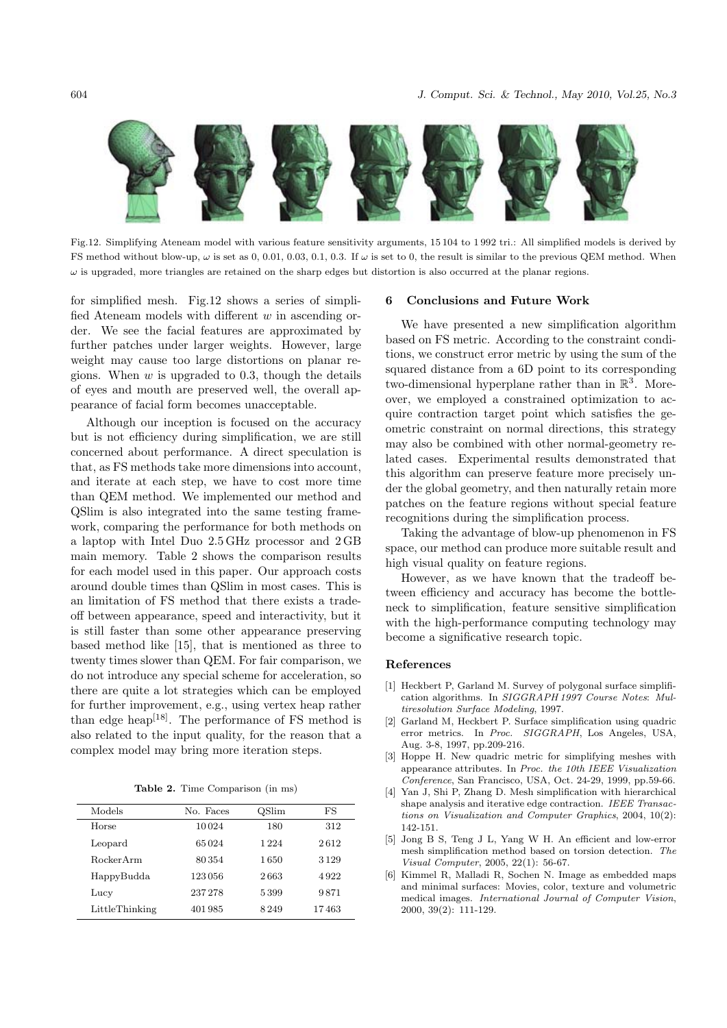

Fig.12. Simplifying Ateneam model with various feature sensitivity arguments, 15 104 to 1 992 tri.: All simplified models is derived by FS method without blow-up,  $\omega$  is set as 0, 0.01, 0.03, 0.1, 0.3. If  $\omega$  is set to 0, the result is similar to the previous QEM method. When  $\omega$  is upgraded, more triangles are retained on the sharp edges but distortion is also occurred at the planar regions.

for simplified mesh. Fig.12 shows a series of simplified Ateneam models with different  $w$  in ascending order. We see the facial features are approximated by further patches under larger weights. However, large weight may cause too large distortions on planar regions. When  $w$  is upgraded to 0.3, though the details of eyes and mouth are preserved well, the overall appearance of facial form becomes unacceptable.

Although our inception is focused on the accuracy but is not efficiency during simplification, we are still concerned about performance. A direct speculation is that, as FS methods take more dimensions into account, and iterate at each step, we have to cost more time than QEM method. We implemented our method and QSlim is also integrated into the same testing framework, comparing the performance for both methods on a laptop with Intel Duo 2.5 GHz processor and 2 GB main memory. Table 2 shows the comparison results for each model used in this paper. Our approach costs around double times than QSlim in most cases. This is an limitation of FS method that there exists a tradeoff between appearance, speed and interactivity, but it is still faster than some other appearance preserving based method like [15], that is mentioned as three to twenty times slower than QEM. For fair comparison, we do not introduce any special scheme for acceleration, so there are quite a lot strategies which can be employed for further improvement, e.g., using vertex heap rather than edge heap<sup>[18]</sup>. The performance of FS method is also related to the input quality, for the reason that a complex model may bring more iteration steps.

Table 2. Time Comparison (in ms)

| Models           | No. Faces | <b>QSlim</b> | FS    |
|------------------|-----------|--------------|-------|
| Horse            | 10024     | 180          | 312   |
| Leopard          | 65024     | 1 224        | 2612  |
| <b>RockerArm</b> | 80354     | 1650         | 3129  |
| HappyBudda       | 123056    | 2663         | 4922  |
| Lucy             | 237 278   | 5399         | 9871  |
| LittleThinking   | 401985    | 8249         | 17463 |

#### 6 Conclusions and Future Work

We have presented a new simplification algorithm based on FS metric. According to the constraint conditions, we construct error metric by using the sum of the squared distance from a 6D point to its corresponding two-dimensional hyperplane rather than in  $\mathbb{R}^3$ . Moreover, we employed a constrained optimization to acquire contraction target point which satisfies the geometric constraint on normal directions, this strategy may also be combined with other normal-geometry related cases. Experimental results demonstrated that this algorithm can preserve feature more precisely under the global geometry, and then naturally retain more patches on the feature regions without special feature recognitions during the simplification process.

Taking the advantage of blow-up phenomenon in FS space, our method can produce more suitable result and high visual quality on feature regions.

However, as we have known that the tradeoff between efficiency and accuracy has become the bottleneck to simplification, feature sensitive simplification with the high-performance computing technology may become a significative research topic.

#### References

- [1] Heckbert P, Garland M. Survey of polygonal surface simplification algorithms. In SIGGRAPH 1997 Course Notes: Multiresolution Surface Modeling, 1997.
- [2] Garland M, Heckbert P. Surface simplification using quadric error metrics. In Proc. SIGGRAPH, Los Angeles, USA, Aug. 3-8, 1997, pp.209-216.
- [3] Hoppe H. New quadric metric for simplifying meshes with appearance attributes. In Proc. the 10th IEEE Visualization Conference, San Francisco, USA, Oct. 24-29, 1999, pp.59-66.
- [4] Yan J, Shi P, Zhang D. Mesh simplification with hierarchical shape analysis and iterative edge contraction. IEEE Transactions on Visualization and Computer Graphics, 2004, 10(2): 142-151.
- [5] Jong B S, Teng J L, Yang W H. An efficient and low-error mesh simplification method based on torsion detection. The Visual Computer, 2005, 22(1): 56-67.
- [6] Kimmel R, Malladi R, Sochen N. Image as embedded maps and minimal surfaces: Movies, color, texture and volumetric medical images. International Journal of Computer Vision, 2000, 39(2): 111-129.